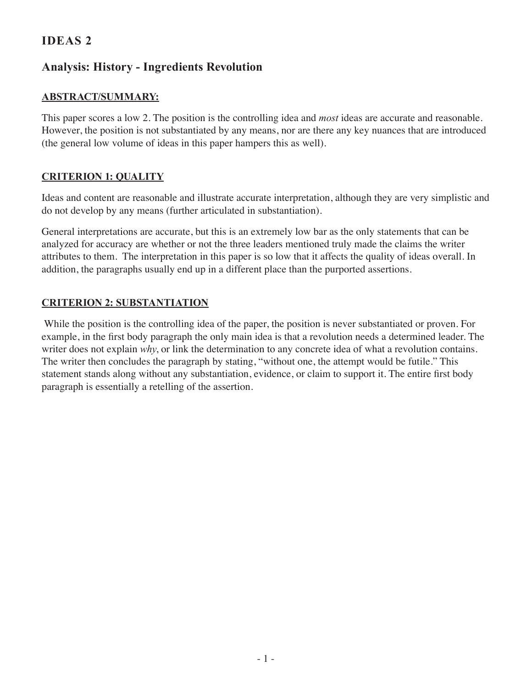# **IDEAS 2**

# **Analysis: History - Ingredients Revolution**

### **Abstract/Summary:**

This paper scores a low 2. The position is the controlling idea and *most* ideas are accurate and reasonable. However, the position is not substantiated by any means, nor are there any key nuances that are introduced (the general low volume of ideas in this paper hampers this as well).

### **Criterion 1: Quality**

Ideas and content are reasonable and illustrate accurate interpretation, although they are very simplistic and do not develop by any means (further articulated in substantiation).

General interpretations are accurate, but this is an extremely low bar as the only statements that can be analyzed for accuracy are whether or not the three leaders mentioned truly made the claims the writer attributes to them. The interpretation in this paper is so low that it affects the quality of ideas overall. In addition, the paragraphs usually end up in a different place than the purported assertions.

### **Criterion 2: Substantiation**

 While the position is the controlling idea of the paper, the position is never substantiated or proven. For example, in the first body paragraph the only main idea is that a revolution needs a determined leader. The writer does not explain *why*, or link the determination to any concrete idea of what a revolution contains. The writer then concludes the paragraph by stating, "without one, the attempt would be futile." This statement stands along without any substantiation, evidence, or claim to support it. The entire first body paragraph is essentially a retelling of the assertion.